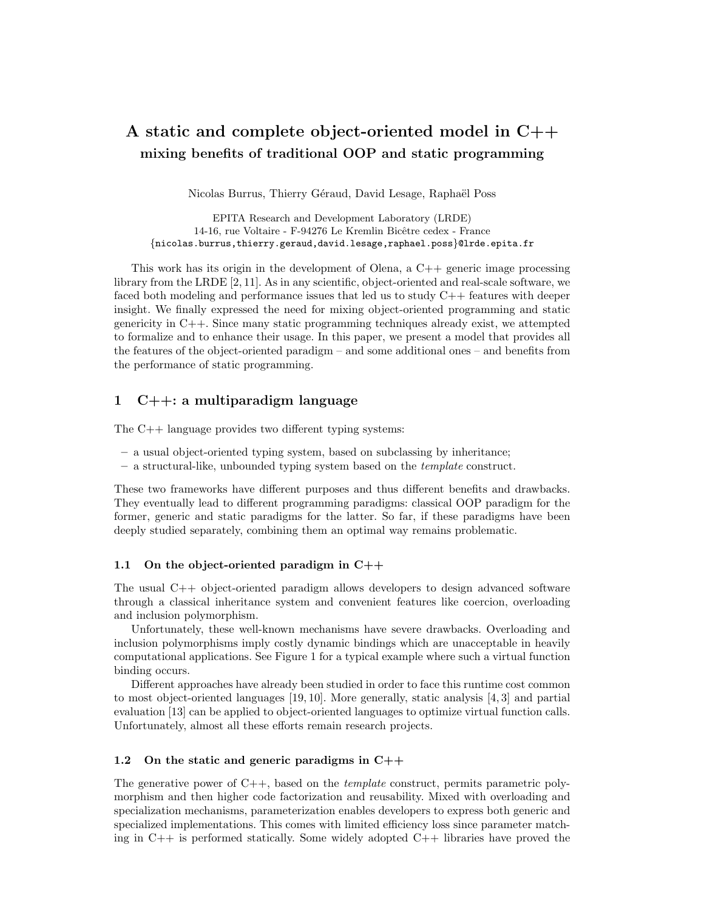# A static and complete object-oriented model in C++ mixing benefits of traditional OOP and static programming

Nicolas Burrus, Thierry Géraud, David Lesage, Raphaël Poss

EPITA Research and Development Laboratory (LRDE) 14-16, rue Voltaire - F-94276 Le Kremlin Bicêtre cedex - France {nicolas.burrus,thierry.geraud,david.lesage,raphael.poss}@lrde.epita.fr

This work has its origin in the development of Olena, a  $C_{++}$  generic image processing library from the LRDE [2, 11]. As in any scientific, object-oriented and real-scale software, we faced both modeling and performance issues that led us to study C++ features with deeper insight. We finally expressed the need for mixing object-oriented programming and static genericity in C++. Since many static programming techniques already exist, we attempted to formalize and to enhance their usage. In this paper, we present a model that provides all the features of the object-oriented paradigm – and some additional ones – and benefits from the performance of static programming.

# 1 C++: a multiparadigm language

The C++ language provides two different typing systems:

- a usual object-oriented typing system, based on subclassing by inheritance;
- a structural-like, unbounded typing system based on the template construct.

These two frameworks have different purposes and thus different benefits and drawbacks. They eventually lead to different programming paradigms: classical OOP paradigm for the former, generic and static paradigms for the latter. So far, if these paradigms have been deeply studied separately, combining them an optimal way remains problematic.

### 1.1 On the object-oriented paradigm in C++

The usual C++ object-oriented paradigm allows developers to design advanced software through a classical inheritance system and convenient features like coercion, overloading and inclusion polymorphism.

Unfortunately, these well-known mechanisms have severe drawbacks. Overloading and inclusion polymorphisms imply costly dynamic bindings which are unacceptable in heavily computational applications. See Figure 1 for a typical example where such a virtual function binding occurs.

Different approaches have already been studied in order to face this runtime cost common to most object-oriented languages [19, 10]. More generally, static analysis [4, 3] and partial evaluation [13] can be applied to object-oriented languages to optimize virtual function calls. Unfortunately, almost all these efforts remain research projects.

### 1.2 On the static and generic paradigms in C++

The generative power of  $C_{++}$ , based on the *template* construct, permits parametric polymorphism and then higher code factorization and reusability. Mixed with overloading and specialization mechanisms, parameterization enables developers to express both generic and specialized implementations. This comes with limited efficiency loss since parameter matching in C++ is performed statically. Some widely adopted C++ libraries have proved the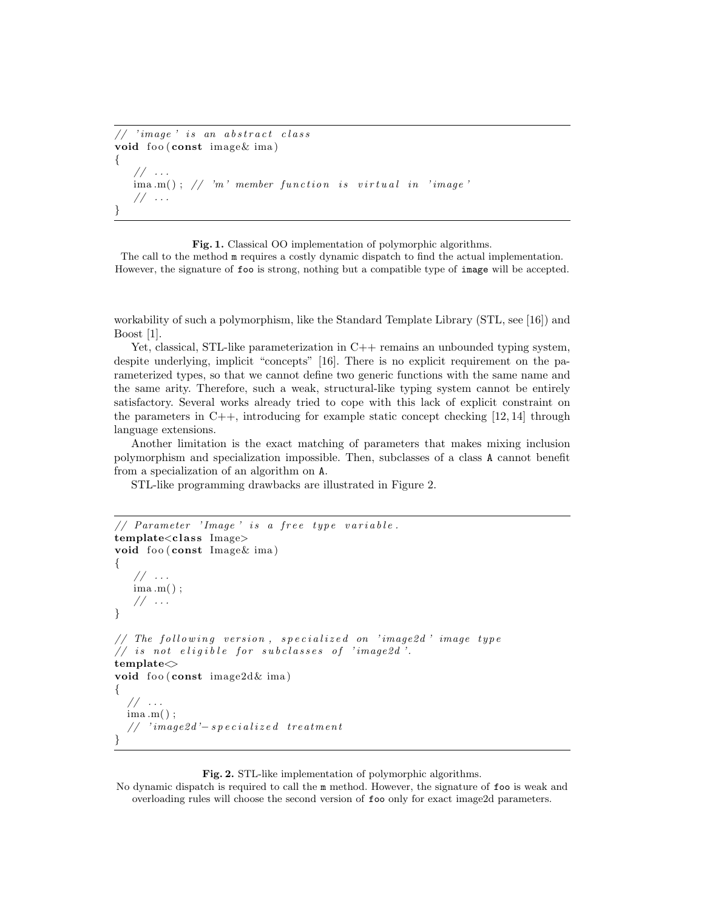```
// 'image' is an abstract classvoid foo (const \, image & ima){
   // \dots\lim_{m \to \infty} ima.m(); // 'm' member function is virtual in 'image'
   // \dots}
```
Fig. 1. Classical OO implementation of polymorphic algorithms.

The call to the method  $m$  requires a costly dynamic dispatch to find the actual implementation. However, the signature of foo is strong, nothing but a compatible type of image will be accepted.

workability of such a polymorphism, like the Standard Template Library (STL, see [16]) and Boost [1].

Yet, classical, STL-like parameterization in C++ remains an unbounded typing system, despite underlying, implicit "concepts" [16]. There is no explicit requirement on the parameterized types, so that we cannot define two generic functions with the same name and the same arity. Therefore, such a weak, structural-like typing system cannot be entirely satisfactory. Several works already tried to cope with this lack of explicit constraint on the parameters in  $C_{++}$ , introducing for example static concept checking  $[12, 14]$  through language extensions.

Another limitation is the exact matching of parameters that makes mixing inclusion polymorphism and specialization impossible. Then, subclasses of a class A cannot benefit from a specialization of an algorithm on A.

STL-like programming drawbacks are illustrated in Figure 2.

```
// Parameter 'Image' is a free type variable.
template<class Image>
void foo (const Image & ima)
{
   // \,\ldots\,ima .m( ) ;
   // \dots}
// The following version, specialized on 'image2d' image type
// is not eligible for subclasses of 'image2d'.
templatevoid foo (const image2d k ima)
{
  // \dotsima .m( ) ;
  // 'image2d'-specialized treatment
}
```
Fig. 2. STL-like implementation of polymorphic algorithms.

No dynamic dispatch is required to call the m method. However, the signature of foo is weak and overloading rules will choose the second version of foo only for exact image2d parameters.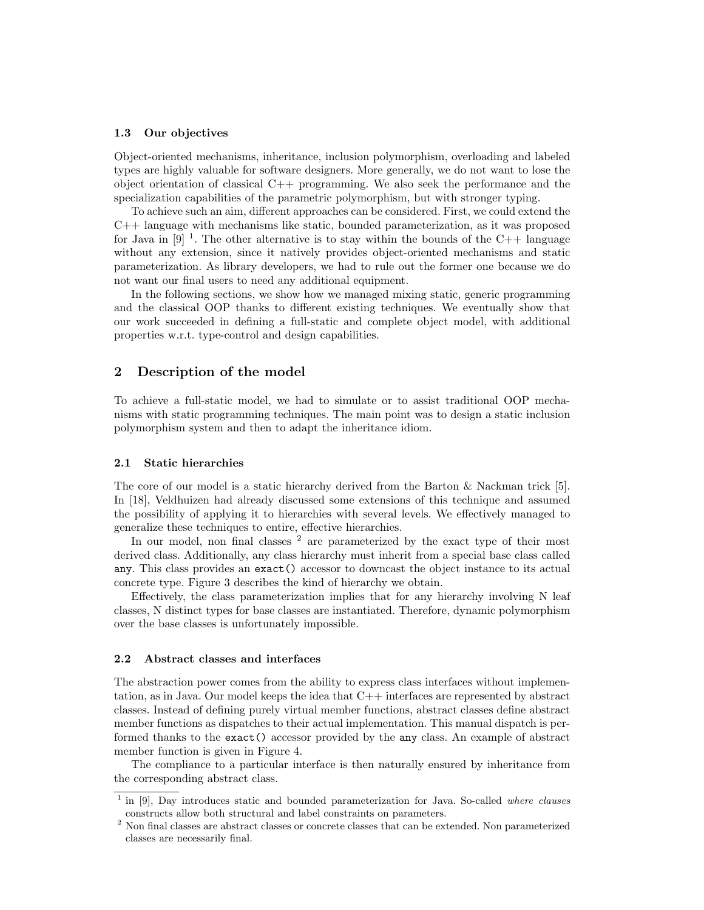#### 1.3 Our objectives

Object-oriented mechanisms, inheritance, inclusion polymorphism, overloading and labeled types are highly valuable for software designers. More generally, we do not want to lose the object orientation of classical C++ programming. We also seek the performance and the specialization capabilities of the parametric polymorphism, but with stronger typing.

To achieve such an aim, different approaches can be considered. First, we could extend the C++ language with mechanisms like static, bounded parameterization, as it was proposed for Java in  $[9]$ <sup>1</sup>. The other alternative is to stay within the bounds of the C++ language without any extension, since it natively provides object-oriented mechanisms and static parameterization. As library developers, we had to rule out the former one because we do not want our final users to need any additional equipment.

In the following sections, we show how we managed mixing static, generic programming and the classical OOP thanks to different existing techniques. We eventually show that our work succeeded in defining a full-static and complete object model, with additional properties w.r.t. type-control and design capabilities.

# 2 Description of the model

To achieve a full-static model, we had to simulate or to assist traditional OOP mechanisms with static programming techniques. The main point was to design a static inclusion polymorphism system and then to adapt the inheritance idiom.

#### 2.1 Static hierarchies

The core of our model is a static hierarchy derived from the Barton & Nackman trick [5]. In [18], Veldhuizen had already discussed some extensions of this technique and assumed the possibility of applying it to hierarchies with several levels. We effectively managed to generalize these techniques to entire, effective hierarchies.

In our model, non final classes <sup>2</sup> are parameterized by the exact type of their most derived class. Additionally, any class hierarchy must inherit from a special base class called any. This class provides an exact() accessor to downcast the object instance to its actual concrete type. Figure 3 describes the kind of hierarchy we obtain.

Effectively, the class parameterization implies that for any hierarchy involving N leaf classes, N distinct types for base classes are instantiated. Therefore, dynamic polymorphism over the base classes is unfortunately impossible.

#### 2.2 Abstract classes and interfaces

The abstraction power comes from the ability to express class interfaces without implementation, as in Java. Our model keeps the idea that C++ interfaces are represented by abstract classes. Instead of defining purely virtual member functions, abstract classes define abstract member functions as dispatches to their actual implementation. This manual dispatch is performed thanks to the exact() accessor provided by the any class. An example of abstract member function is given in Figure 4.

The compliance to a particular interface is then naturally ensured by inheritance from the corresponding abstract class.

<sup>1</sup> in [9], Day introduces static and bounded parameterization for Java. So-called where clauses constructs allow both structural and label constraints on parameters.

 $2$  Non final classes are abstract classes or concrete classes that can be extended. Non parameterized classes are necessarily final.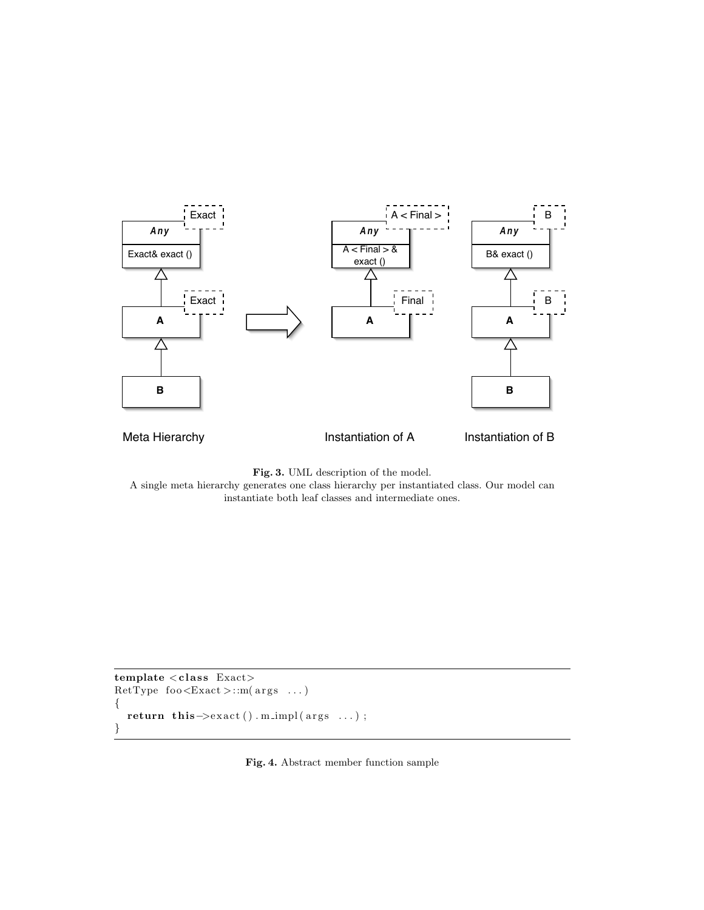

Fig. 3. UML description of the model.

A single meta hierarchy generates one class hierarchy per instantiated class. Our model can instantiate both leaf classes and intermediate ones.

```
template < class Exact>
RetType foo \leqExact >::m(args ...)
\{return this\rightarrowexact().m_impl(args ...);
}
```
Fig. 4. Abstract member function sample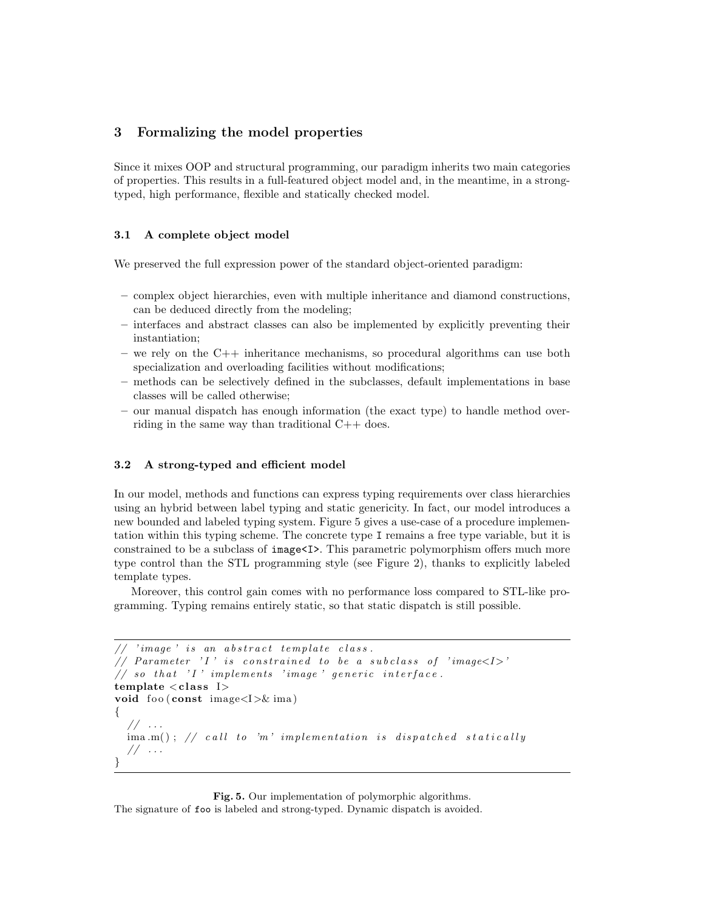# 3 Formalizing the model properties

Since it mixes OOP and structural programming, our paradigm inherits two main categories of properties. This results in a full-featured object model and, in the meantime, in a strongtyped, high performance, flexible and statically checked model.

### 3.1 A complete object model

We preserved the full expression power of the standard object-oriented paradigm:

- complex object hierarchies, even with multiple inheritance and diamond constructions, can be deduced directly from the modeling;
- interfaces and abstract classes can also be implemented by explicitly preventing their instantiation;
- we rely on the C++ inheritance mechanisms, so procedural algorithms can use both specialization and overloading facilities without modifications;
- methods can be selectively defined in the subclasses, default implementations in base classes will be called otherwise;
- our manual dispatch has enough information (the exact type) to handle method overriding in the same way than traditional C++ does.

### 3.2 A strong-typed and efficient model

In our model, methods and functions can express typing requirements over class hierarchies using an hybrid between label typing and static genericity. In fact, our model introduces a new bounded and labeled typing system. Figure 5 gives a use-case of a procedure implementation within this typing scheme. The concrete type I remains a free type variable, but it is constrained to be a subclass of image<I>. This parametric polymorphism offers much more type control than the STL programming style (see Figure 2), thanks to explicitly labeled template types.

Moreover, this control gain comes with no performance loss compared to STL-like programming. Typing remains entirely static, so that static dispatch is still possible.

```
'image is an abstract template class.
// Parameter 'I' is constrained to be a subclass of 'image\langle I \rangle'
// so that 'I' implements 'image' generic interface.
template < class I>void foo (const image\langle I \rangle& ima)
{
  // \dots\lim_{m \to \infty} : \frac{1}{2} call to 'm' implementation is dispatched statically
  // . . .
}
```
Fig. 5. Our implementation of polymorphic algorithms. The signature of foo is labeled and strong-typed. Dynamic dispatch is avoided.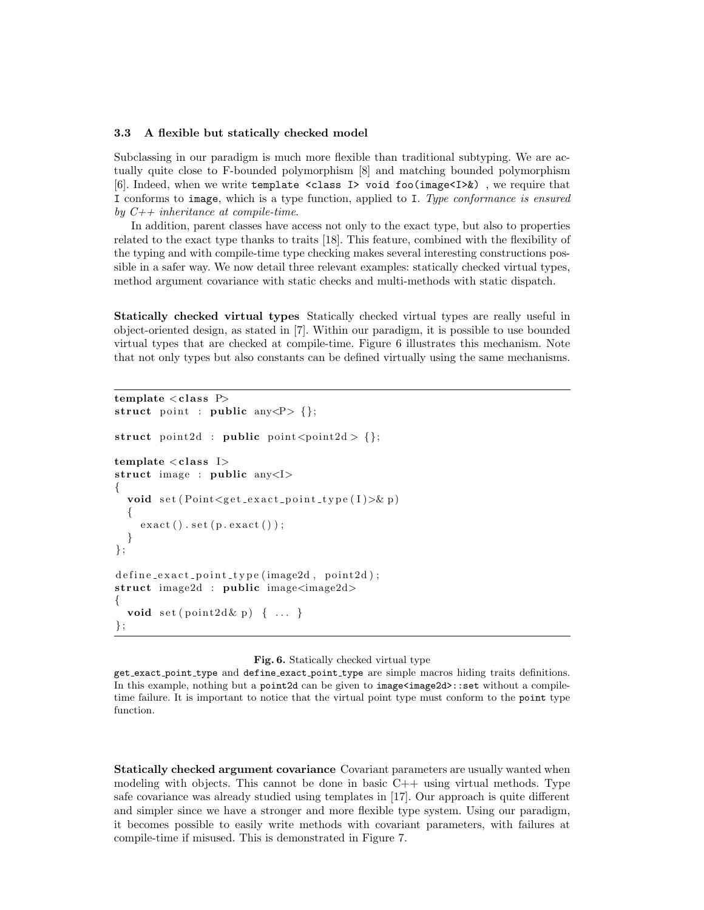#### 3.3 A flexible but statically checked model

Subclassing in our paradigm is much more flexible than traditional subtyping. We are actually quite close to F-bounded polymorphism [8] and matching bounded polymorphism [6]. Indeed, when we write template <class I> void foo(image<I>&) , we require that I conforms to image, which is a type function, applied to I. Type conformance is ensured by  $C_{++}$  inheritance at compile-time.

In addition, parent classes have access not only to the exact type, but also to properties related to the exact type thanks to traits [18]. This feature, combined with the flexibility of the typing and with compile-time type checking makes several interesting constructions possible in a safer way. We now detail three relevant examples: statically checked virtual types, method argument covariance with static checks and multi-methods with static dispatch.

Statically checked virtual types Statically checked virtual types are really useful in object-oriented design, as stated in [7]. Within our paradigm, it is possible to use bounded virtual types that are checked at compile-time. Figure 6 illustrates this mechanism. Note that not only types but also constants can be defined virtually using the same mechanisms.

```
template < class P>struct point : public any \langle P \rangle {};
struct point 2d: public point \langle point 2d > \{\};template < class I>struct image : public any<I>
{
  void set(Point \leq get\_exact\_point\_type(I) > \& p){
     \text{exact}\left(\right). set \left(\text{p} \text{. exact}\left(\right)\right);
  }
\};
define\_exact\_point\_type (image2d , point2d );struct image2d : public image<image2d>
{
  void set( point2d \& p) \{ \ldots \}} ;
```
#### Fig. 6. Statically checked virtual type

get exact point type and define exact point type are simple macros hiding traits definitions. In this example, nothing but a point 2d can be given to  $image \le image \le x$ : set without a compiletime failure. It is important to notice that the virtual point type must conform to the point type function.

Statically checked argument covariance Covariant parameters are usually wanted when modeling with objects. This cannot be done in basic  $C++$  using virtual methods. Type safe covariance was already studied using templates in [17]. Our approach is quite different and simpler since we have a stronger and more flexible type system. Using our paradigm, it becomes possible to easily write methods with covariant parameters, with failures at compile-time if misused. This is demonstrated in Figure 7.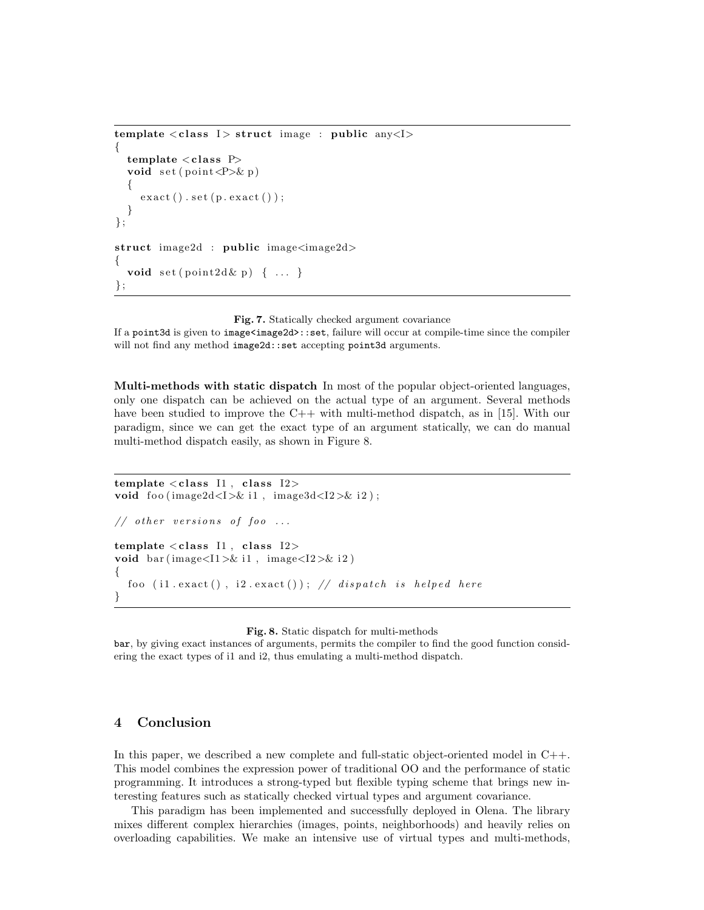```
template < class I > struct image : public any <I >
{
  template < class Pvoid set (point \langle P \rangle \& p)
   {
     \text{exact}() \cdot \text{set}(\text{p} \cdot \text{exact}());}
} ;
struct image2d : public image<image2d>
{
  void set( point2d \& p) \{ \ldots \}} ;
```
Fig. 7. Statically checked argument covariance

If a point 3d is given to  $\text{image}\text{-image}2d$ : set, failure will occur at compile-time since the compiler will not find any method image2d::set accepting point3d arguments.

Multi-methods with static dispatch In most of the popular object-oriented languages, only one dispatch can be achieved on the actual type of an argument. Several methods have been studied to improve the C++ with multi-method dispatch, as in [15]. With our paradigm, since we can get the exact type of an argument statically, we can do manual multi-method dispatch easily, as shown in Figure 8.

```
template \langle \text{class II}, \text{class I2}\ranglevoid foo (image2d<I>& i1, image3d<I2>& i2);
// other versions of foo ...
template < class 11, class 12>void bar (image<I1>& i1, image<I2>& i2)
{
  foo (il.exact(), i2.exact()); // dispatch is helped here
}
```
Fig. 8. Static dispatch for multi-methods

bar, by giving exact instances of arguments, permits the compiler to find the good function considering the exact types of i1 and i2, thus emulating a multi-method dispatch.

# 4 Conclusion

In this paper, we described a new complete and full-static object-oriented model in C++. This model combines the expression power of traditional OO and the performance of static programming. It introduces a strong-typed but flexible typing scheme that brings new interesting features such as statically checked virtual types and argument covariance.

This paradigm has been implemented and successfully deployed in Olena. The library mixes different complex hierarchies (images, points, neighborhoods) and heavily relies on overloading capabilities. We make an intensive use of virtual types and multi-methods,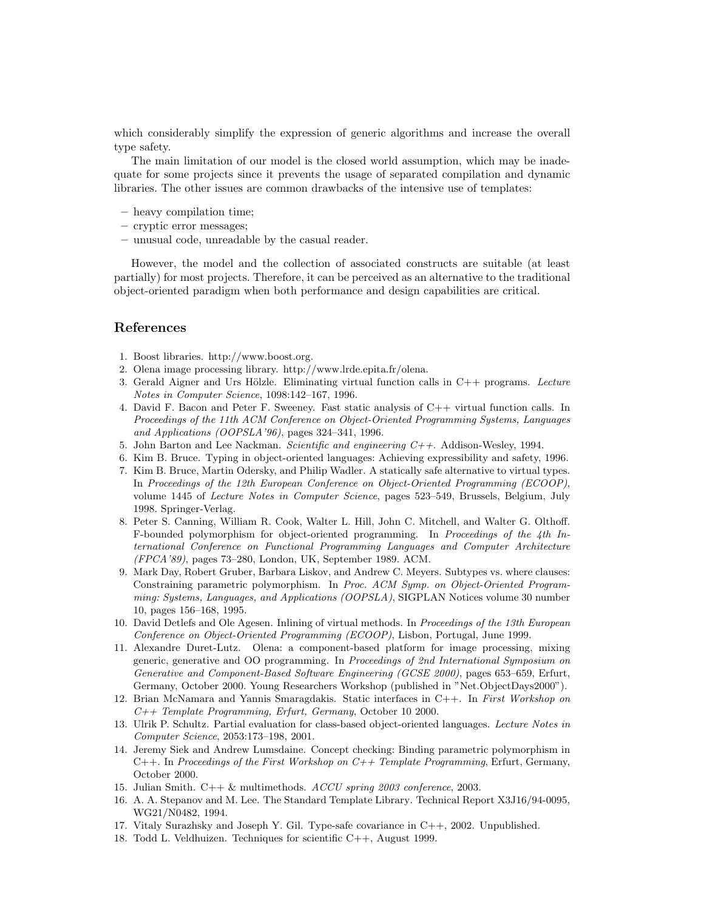which considerably simplify the expression of generic algorithms and increase the overall type safety.

The main limitation of our model is the closed world assumption, which may be inadequate for some projects since it prevents the usage of separated compilation and dynamic libraries. The other issues are common drawbacks of the intensive use of templates:

- heavy compilation time;
- cryptic error messages;
- unusual code, unreadable by the casual reader.

However, the model and the collection of associated constructs are suitable (at least partially) for most projects. Therefore, it can be perceived as an alternative to the traditional object-oriented paradigm when both performance and design capabilities are critical.

# References

- 1. Boost libraries. http://www.boost.org.
- 2. Olena image processing library. http://www.lrde.epita.fr/olena.
- 3. Gerald Aigner and Urs Hölzle. Eliminating virtual function calls in  $C++$  programs. Lecture Notes in Computer Science, 1098:142–167, 1996.
- 4. David F. Bacon and Peter F. Sweeney. Fast static analysis of C++ virtual function calls. In Proceedings of the 11th ACM Conference on Object-Oriented Programming Systems, Languages and Applications (OOPSLA'96), pages 324–341, 1996.
- 5. John Barton and Lee Nackman. Scientific and engineering  $C_{++}$ . Addison-Wesley, 1994.
- 6. Kim B. Bruce. Typing in object-oriented languages: Achieving expressibility and safety, 1996.
- 7. Kim B. Bruce, Martin Odersky, and Philip Wadler. A statically safe alternative to virtual types. In Proceedings of the 12th European Conference on Object-Oriented Programming (ECOOP), volume 1445 of *Lecture Notes in Computer Science*, pages 523–549, Brussels, Belgium, July 1998. Springer-Verlag.
- 8. Peter S. Canning, William R. Cook, Walter L. Hill, John C. Mitchell, and Walter G. Olthoff. F-bounded polymorphism for object-oriented programming. In Proceedings of the 4th International Conference on Functional Programming Languages and Computer Architecture (FPCA'89), pages 73–280, London, UK, September 1989. ACM.
- 9. Mark Day, Robert Gruber, Barbara Liskov, and Andrew C. Meyers. Subtypes vs. where clauses: Constraining parametric polymorphism. In Proc. ACM Symp. on Object-Oriented Programming: Systems, Languages, and Applications (OOPSLA), SIGPLAN Notices volume 30 number 10, pages 156–168, 1995.
- 10. David Detlefs and Ole Agesen. Inlining of virtual methods. In Proceedings of the 13th European Conference on Object-Oriented Programming (ECOOP), Lisbon, Portugal, June 1999.
- 11. Alexandre Duret-Lutz. Olena: a component-based platform for image processing, mixing generic, generative and OO programming. In Proceedings of 2nd International Symposium on Generative and Component-Based Software Engineering (GCSE 2000), pages 653–659, Erfurt, Germany, October 2000. Young Researchers Workshop (published in "Net.ObjectDays2000").
- 12. Brian McNamara and Yannis Smaragdakis. Static interfaces in C++. In First Workshop on C++ Template Programming, Erfurt, Germany, October 10 2000.
- 13. Ulrik P. Schultz. Partial evaluation for class-based object-oriented languages. Lecture Notes in Computer Science, 2053:173–198, 2001.
- 14. Jeremy Siek and Andrew Lumsdaine. Concept checking: Binding parametric polymorphism in  $C_{++}$ . In Proceedings of the First Workshop on  $C_{++}$  Template Programming, Erfurt, Germany, October 2000.
- 15. Julian Smith. C++ & multimethods. ACCU spring 2003 conference, 2003.
- 16. A. A. Stepanov and M. Lee. The Standard Template Library. Technical Report X3J16/94-0095, WG21/N0482, 1994.
- 17. Vitaly Surazhsky and Joseph Y. Gil. Type-safe covariance in C++, 2002. Unpublished.
- 18. Todd L. Veldhuizen. Techniques for scientific C++, August 1999.